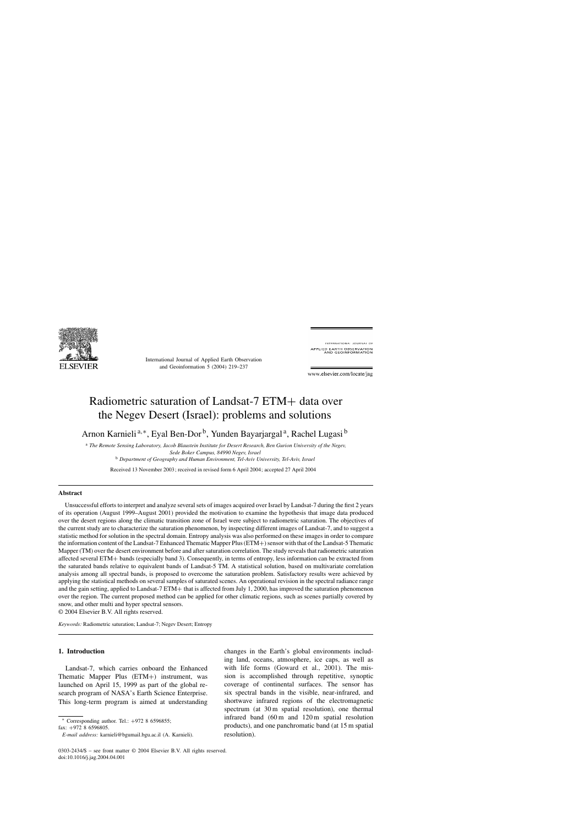

International Journal of Applied Earth Observation and Geoinformation 5 (2004) 219–237

INTERNATIONAL JOURNAL OF APPLIED EARTH OBSERVATION<br>AND GEOINFORMATION

www.elsevier.com/locate/jag

# Radiometric saturation of Landsat-7 ETM+ data over the Negev Desert (Israel): problems and solutions

Arnon Karnieli<sup>a,∗</sup>, Eyal Ben-Dor<sup>b</sup>, Yunden Bayarjargal<sup>a</sup>, Rachel Lugasi<sup>b</sup>

<sup>a</sup> *The Remote Sensing Laboratory, Jacob Blaustein Institute for Desert Research, Ben Gurion University of the Negev, Sede Boker Campus, 84990 Negev, Israel* <sup>b</sup> *Department of Geography and Human Environment, Tel-Aviv University, Tel-Aviv, Israel*

Received 13 November 2003; received in revised form 6 April 2004; accepted 27 April 2004

#### **Abstract**

Unsuccessful efforts to interpret and analyze several sets of images acquired over Israel by Landsat-7 during the first 2 years of its operation (August 1999–August 2001) provided the motivation to examine the hypothesis that image data produced over the desert regions along the climatic transition zone of Israel were subject to radiometric saturation. The objectives of the current study are to characterize the saturation phenomenon, by inspecting different images of Landsat-7, and to suggest a statistic method for solution in the spectral domain. Entropy analysis was also performed on these images in order to compare the information content of the Landsat-7 Enhanced Thematic Mapper Plus (ETM+) sensor with that of the Landsat-5 Thematic Mapper (TM) over the desert environment before and after saturation correlation. The study reveals that radiometric saturation affected several ETM+ bands (especially band 3). Consequently, in terms of entropy, less information can be extracted from the saturated bands relative to equivalent bands of Landsat-5 TM. A statistical solution, based on multivariate correlation analysis among all spectral bands, is proposed to overcome the saturation problem. Satisfactory results were achieved by applying the statistical methods on several samples of saturated scenes. An operational revision in the spectral radiance range and the gain setting, applied to Landsat-7 ETM+ that is affected from July 1, 2000, has improved the saturation phenomenon over the region. The current proposed method can be applied for other climatic regions, such as scenes partially covered by snow, and other multi and hyper spectral sensors.

© 2004 Elsevier B.V. All rights reserved.

*Keywords:* Radiometric saturation; Landsat-7; Negev Desert; Entropy

## **1. Introduction**

Landsat-7, which carries onboard the Enhanced Thematic Mapper Plus (ETM+) instrument, was launched on April 15, 1999 as part of the global research program of NASA's Earth Science Enterprise. This long-term program is aimed at understanding

<sup>∗</sup> Corresponding author. Tel.: +972 8 6596855;

changes in the Earth's global environments including land, oceans, atmosphere, ice caps, as well as with life forms (Goward et al., 2001). The mission is accomplished through repetitive, synoptic coverage of continental surfaces. The sensor has six spectral bands in the visible, near-infrared, and shortwave infrared regions of the electromagnetic spectrum (at 30 m spatial resolution), one thermal infrared band (60 m and 120 m spatial resolution products), and one panchromatic band (at 15 m spatial resolution).

fax: +972 8 6596805.

*E-mail address:* karnieli@bgumail.bgu.ac.il (A. Karnieli).

<sup>0303-2434/\$ –</sup> see front matter © 2004 Elsevier B.V. All rights reserved. doi:10.1016/j.jag.2004.04.001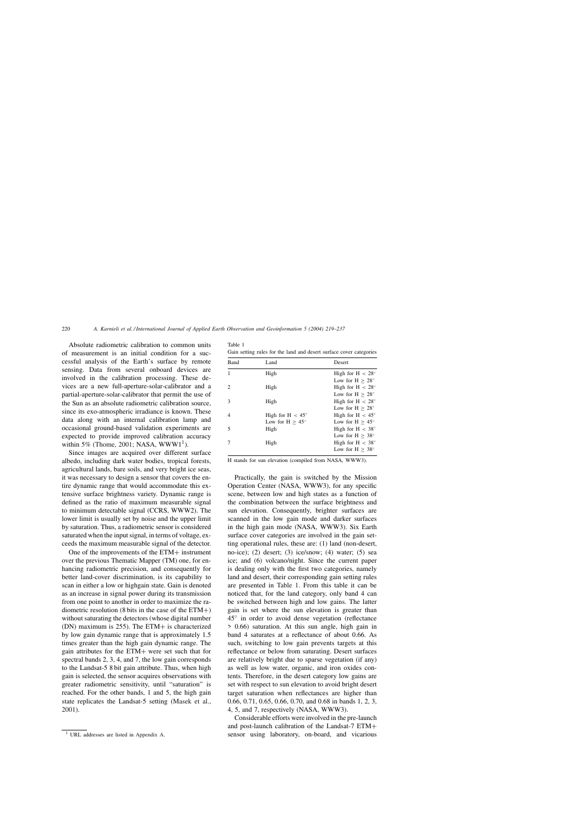Absolute radiometric calibration to common units of measurement is an initial condition for a successful analysis of the Earth's surface by remote sensing. Data from several onboard devices are involved in the calibration processing. These devices are a new full-aperture-solar-calibrator and a partial-aperture-solar-calibrator that permit the use of the Sun as an absolute radiometric calibration source, since its exo-atmospheric irradiance is known. These data along with an internal calibration lamp and occasional ground-based validation experiments are expected to provide improved calibration accuracy within 5% (Thome, 2001; NASA,  $WWW1<sup>1</sup>$ ).

Since images are acquired over different surface albedo, including dark water bodies, tropical forests, agricultural lands, bare soils, and very bright ice seas, it was necessary to design a sensor that covers the entire dynamic range that would accommodate this extensive surface brightness variety. Dynamic range is defined as the ratio of maximum measurable signal to minimum detectable signal (CCRS, WWW2). The lower limit is usually set by noise and the upper limit by saturation. Thus, a radiometric sensor is considered saturated when the input signal, in terms of voltage, exceeds the maximum measurable signal of the detector.

One of the improvements of the ETM+ instrument over the previous Thematic Mapper (TM) one, for enhancing radiometric precision, and consequently for better land-cover discrimination, is its capability to scan in either a low or highgain state. Gain is denoted as an increase in signal power during its transmission from one point to another in order to maximize the radiometric resolution (8 bits in the case of the  $ETM+$ ) without saturating the detectors (whose digital number (DN) maximum is 255). The ETM+ is characterized by low gain dynamic range that is approximately 1.5 times greater than the high gain dynamic range. The gain attributes for the ETM+ were set such that for spectral bands 2, 3, 4, and 7, the low gain corresponds to the Landsat-5 8 bit gain attribute. Thus, when high gain is selected, the sensor acquires observations with greater radiometric sensitivity, until "saturation" is reached. For the other bands, 1 and 5, the high gain state replicates the Landsat-5 setting (Masek et al., 2001).

| Table 1                                                             |  |  |
|---------------------------------------------------------------------|--|--|
| Gain setting rules for the land and desert surface cover categories |  |  |

| <b>Band</b> | Land                      | <b>Desert</b>             |
|-------------|---------------------------|---------------------------|
|             | High                      | High for $H < 28^\circ$   |
|             |                           | Low for $H > 28^\circ$    |
|             | High                      | High for H $< 28^\circ$   |
|             |                           | Low for $H > 28^\circ$    |
| 3           | High                      | High for H $< 28^\circ$   |
|             |                           | Low for $H > 28^\circ$    |
|             | High for H $< 45^{\circ}$ | High for H $< 45^{\circ}$ |
|             | Low for $H > 45^{\circ}$  | Low for $H > 45^{\circ}$  |
| 5           | High                      | High for H $< 38^\circ$   |
|             |                           | Low for $H > 38^\circ$    |
|             | High                      | High for H $< 38^\circ$   |
|             |                           | Low for $H > 38^\circ$    |

H stands for sun elevation (compiled from NASA, WWW3).

Practically, the gain is switched by the Mission Operation Center (NASA, WWW3), for any specific scene, between low and high states as a function of the combination between the surface brightness and sun elevation. Consequently, brighter surfaces are scanned in the low gain mode and darker surfaces in the high gain mode (NASA, WWW3). Six Earth surface cover categories are involved in the gain setting operational rules, these are: (1) land (non-desert, no-ice); (2) desert; (3) ice/snow; (4) water; (5) sea ice; and (6) volcano/night. Since the current paper is dealing only with the first two categories, namely land and desert, their corresponding gain setting rules are presented in Table 1. From this table it can be noticed that, for the land category, only band 4 can be switched between high and low gains. The latter gain is set where the sun elevation is greater than 45◦ in order to avoid dense vegetation (reflectance > 0.66) saturation. At this sun angle, high gain in band 4 saturates at a reflectance of about 0.66. As such, switching to low gain prevents targets at this reflectance or below from saturating. Desert surfaces are relatively bright due to sparse vegetation (if any) as well as low water, organic, and iron oxides contents. Therefore, in the desert category low gains are set with respect to sun elevation to avoid bright desert target saturation when reflectances are higher than 0.66, 0.71, 0.65, 0.66, 0.70, and 0.68 in bands 1, 2, 3, 4, 5, and 7, respectively (NASA, WWW3).

Considerable efforts were involved in the pre-launch and post-launch calibration of the Landsat-7 ETM+ sensor using laboratory, on-board, and vicarious

<sup>1</sup> URL addresses are listed in Appendix A.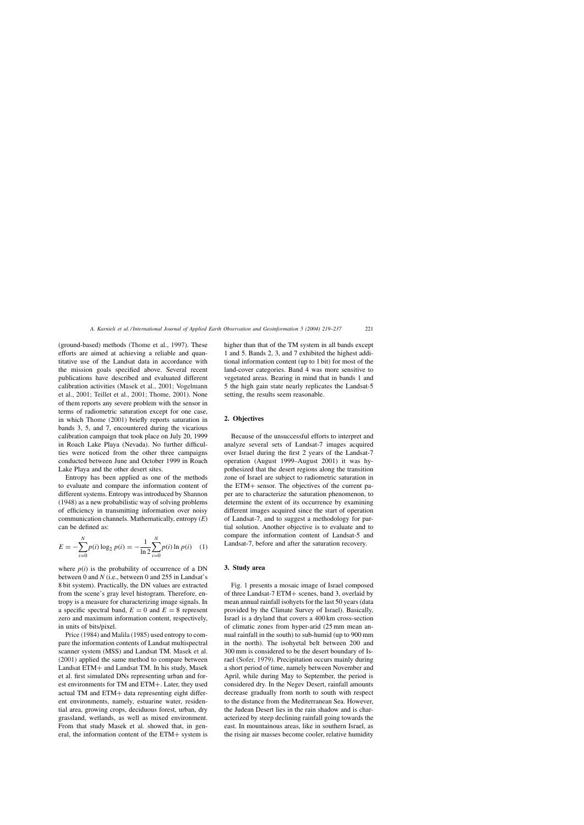(ground-based) methods (Thome et al., 1997). These efforts are aimed at achieving a reliable and quantitative use of the Landsat data in accordance with the mission goals specified above. Several recent publications have described and evaluated different calibration activities (Masek et al., 2001; Vogelmann et al., 2001; Teillet et al., 2001; Thome, 2001). None of them reports any severe problem with the sensor in terms of radiometric saturation except for one case, in which Thome (2001) briefly reports saturation in bands 3, 5, and 7, encountered during the vicarious calibration campaign that took place on July 20, 1999 in Roach Lake Playa (Nevada). No further difficulties were noticed from the other three campaigns conducted between June and October 1999 in Roach Lake Playa and the other desert sites.

Entropy has been applied as one of the methods to evaluate and compare the information content of different systems. Entropy was introduced by Shannon (1948) as a new probabilistic way of solving problems of efficiency in transmitting information over noisy communication channels. Mathematically, entropy (*E*) can be defined as:

$$
E = -\sum_{i=0}^{N} p(i) \log_2 p(i) = -\frac{1}{\ln 2} \sum_{i=0}^{N} p(i) \ln p(i) \quad (1)
$$

where  $p(i)$  is the probability of occurrence of a DN between 0 and *N* (i.e., between 0 and 255 in Landsat's 8 bit system). Practically, the DN values are extracted from the scene's gray level histogram. Therefore, entropy is a measure for characterizing image signals. In a specific spectral band,  $E = 0$  and  $E = 8$  represent zero and maximum information content, respectively, in units of bits/pixel.

Price (1984) and Malila (1985) used entropy to compare the information contents of Landsat multispectral scanner system (MSS) and Landsat TM. Masek et al. (2001) applied the same method to compare between Landsat ETM+ and Landsat TM. In his study, Masek et al. first simulated DNs representing urban and forest environments for TM and ETM+. Later, they used actual TM and ETM+ data representing eight different environments, namely, estuarine water, residential area, growing crops, deciduous forest, urban, dry grassland, wetlands, as well as mixed environment. From that study Masek et al. showed that, in general, the information content of the ETM+ system is

higher than that of the TM system in all bands except 1 and 5. Bands 2, 3, and 7 exhibited the highest additional information content (up to 1 bit) for most of the land-cover categories. Band 4 was more sensitive to vegetated areas. Bearing in mind that in bands 1 and 5 the high gain state nearly replicates the Landsat-5 setting, the results seem reasonable.

## **2. Objectives**

Because of the unsuccessful efforts to interpret and analyze several sets of Landsat-7 images acquired over Israel during the first 2 years of the Landsat-7 operation (August 1999–August 2001) it was hypothesized that the desert regions along the transition zone of Israel are subject to radiometric saturation in the ETM+ sensor. The objectives of the current paper are to characterize the saturation phenomenon, to determine the extent of its occurrence by examining different images acquired since the start of operation of Landsat-7, and to suggest a methodology for partial solution. Another objective is to evaluate and to compare the information content of Landsat-5 and Landsat-7, before and after the saturation recovery.

## **3. Study area**

Fig. 1 presents a mosaic image of Israel composed of three Landsat-7 ETM+ scenes, band 3, overlaid by mean annual rainfall isohyets for the last 50 years (data provided by the Climate Survey of Israel). Basically, Israel is a dryland that covers a 400 km cross-section of climatic zones from hyper-arid (25 mm mean annual rainfall in the south) to sub-humid (up to 900 mm in the north). The isohyetal belt between 200 and 300 mm is considered to be the desert boundary of Israel (Sofer, 1979). Precipitation occurs mainly during a short period of time, namely between November and April, while during May to September, the period is considered dry. In the Negev Desert, rainfall amounts decrease gradually from north to south with respect to the distance from the Mediterranean Sea. However, the Judean Desert lies in the rain shadow and is characterized by steep declining rainfall going towards the east. In mountainous areas, like in southern Israel, as the rising air masses become cooler, relative humidity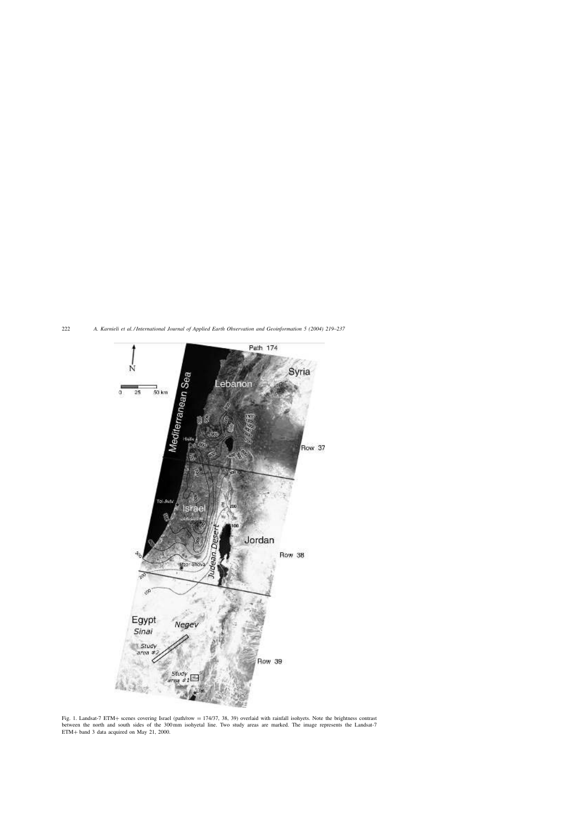

Fig. 1. Landsat-7 ETM+ scenes covering Israel (path/row = 174/37, 38, 39) overlaid with rainfall isohyets. Note the brightness contrast between the north and south sides of the 300 mm isohyetal line. Two study areas are marked. The image represents the Landsat-7 ETM+ band 3 data acquired on May 21, 2000.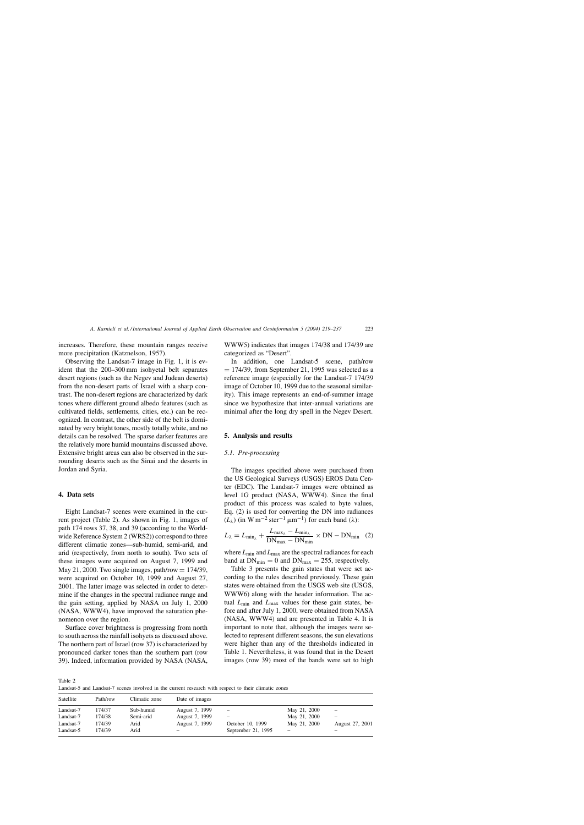increases. Therefore, these mountain ranges receive more precipitation (Katznelson, 1957).

Observing the Landsat-7 image in Fig. 1, it is evident that the 200–300 mm isohyetal belt separates desert regions (such as the Negev and Judean deserts) from the non-desert parts of Israel with a sharp contrast. The non-desert regions are characterized by dark tones where different ground albedo features (such as cultivated fields, settlements, cities, etc.) can be recognized. In contrast, the other side of the belt is dominated by very bright tones, mostly totally white, and no details can be resolved. The sparse darker features are the relatively more humid mountains discussed above. Extensive bright areas can also be observed in the surrounding deserts such as the Sinai and the deserts in Jordan and Syria.

### **4. Data sets**

Eight Landsat-7 scenes were examined in the current project (Table 2). As shown in Fig. 1, images of path 174 rows 37, 38, and 39 (according to the Worldwide Reference System 2 (WRS2)) correspond to three different climatic zones—sub-humid, semi-arid, and arid (respectively, from north to south). Two sets of these images were acquired on August 7, 1999 and May 21, 2000. Two single images, path/row  $= 174/39$ , were acquired on October 10, 1999 and August 27, 2001. The latter image was selected in order to determine if the changes in the spectral radiance range and the gain setting, applied by NASA on July 1, 2000 (NASA, WWW4), have improved the saturation phenomenon over the region.

Surface cover brightness is progressing from north to south across the rainfall isohyets as discussed above. The northern part of Israel (row 37) is characterized by pronounced darker tones than the southern part (row 39). Indeed, information provided by NASA (NASA, WWW5) indicates that images 174/38 and 174/39 are categorized as "Desert".

In addition, one Landsat-5 scene, path/row  $= 174/39$ , from September 21, 1995 was selected as a reference image (especially for the Landsat-7 174/39 image of October 10, 1999 due to the seasonal similarity). This image represents an end-of-summer image since we hypothesize that inter-annual variations are minimal after the long dry spell in the Negev Desert.

#### **5. Analysis and results**

#### *5.1. Pre-processing*

The images specified above were purchased from the US Geological Surveys (USGS) EROS Data Center (EDC). The Landsat-7 images were obtained as level 1G product (NASA, WWW4). Since the final product of this process was scaled to byte values, Eq. (2) is used for converting the DN into radiances  $(L_{\lambda})$  (in W m<sup>-2</sup> ster<sup>-1</sup> µm<sup>-1</sup>) for each band ( $\lambda$ ):

$$
L_{\lambda} = L_{\min_{\lambda}} + \frac{L_{\max_{\lambda}} - L_{\min_{\lambda}}}{DN_{\max} - DN_{\min}} \times DN - DN_{\min} \quad (2)
$$

where  $L_{\text{min}}$  and  $L_{\text{max}}$  are the spectral radiances for each band at  $DN_{min} = 0$  and  $DN_{max} = 255$ , respectively.

Table 3 presents the gain states that were set according to the rules described previously. These gain states were obtained from the USGS web site (USGS, WWW6) along with the header information. The actual *L*min and *L*max values for these gain states, before and after July 1, 2000, were obtained from NASA (NASA, WWW4) and are presented in Table 4. It is important to note that, although the images were selected to represent different seasons, the sun elevations were higher than any of the thresholds indicated in Table 1. Nevertheless, it was found that in the Desert images (row 39) most of the bands were set to high

Table 2

Landsat-5 and Landsat-7 scenes involved in the current research with respect to their climatic zones

| Satellite | Path/row | Climatic zone | Date of images           |                          |                          |                   |
|-----------|----------|---------------|--------------------------|--------------------------|--------------------------|-------------------|
| Landsat-7 | 174/37   | Sub-humid     | August 7, 1999           | $\overline{\phantom{m}}$ | May 21, 2000             | $\qquad \qquad -$ |
| Landsat-7 | 174/38   | Semi-arid     | August 7, 1999           | -                        | May 21, 2000             |                   |
| Landsat-7 | 174/39   | Arid          | August 7, 1999           | October 10, 1999         | May 21, 2000             | August 27, 2001   |
| Landsat-5 | 174/39   | Arid          | $\overline{\phantom{m}}$ | September 21, 1995       | $\overline{\phantom{0}}$ |                   |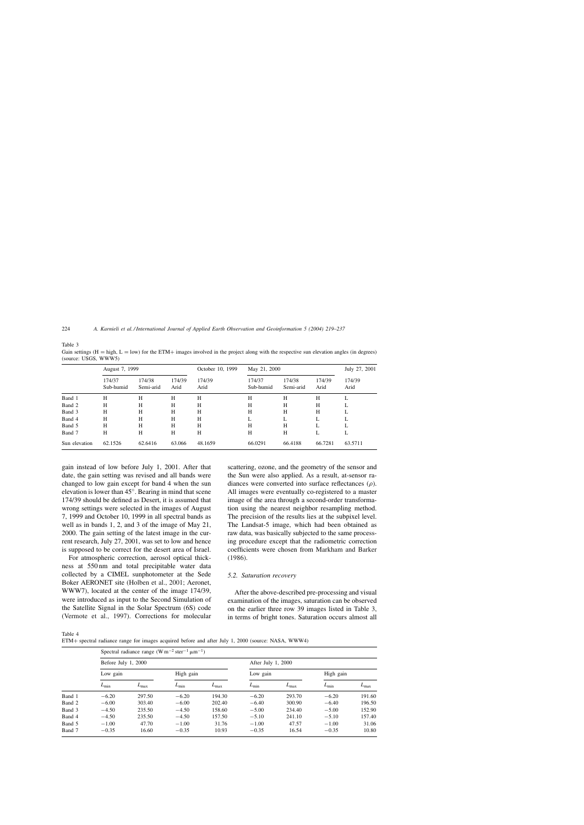Table 3

Gain settings  $(H = high, L = low)$  for the ETM+ images involved in the project along with the respective sun elevation angles (in degrees) (source: USGS, WWW5)

|               | August 7, 1999      |                     |                | October 10, 1999 | May 21, 2000        |                     | July 27, 2001  |                |
|---------------|---------------------|---------------------|----------------|------------------|---------------------|---------------------|----------------|----------------|
|               | 174/37<br>Sub-humid | 174/38<br>Semi-arid | 174/39<br>Arid | 174/39<br>Arid   | 174/37<br>Sub-humid | 174/38<br>Semi-arid | 174/39<br>Arid | 174/39<br>Arid |
| Band 1        | H                   | Н                   | Н              | Н                | Н                   | Н                   | Н              | L              |
| Band 2        | H                   | Н                   | Н              | Н                | H                   | Н                   | Н              | L              |
| Band 3        | H                   | Н                   | H              | Н                | H                   | Н                   | Н              | L              |
| Band 4        | H                   | Н                   | Н              | Н                | L                   |                     |                | L              |
| Band 5        | H                   | Н                   | Н              | Н                | H                   | Н                   |                | L              |
| Band 7        | H                   | Н                   | Н              | Н                | H                   | H                   | L              | L              |
| Sun elevation | 62.1526             | 62.6416             | 63.066         | 48.1659          | 66.0291             | 66.4188             | 66.7281        | 63.5711        |

gain instead of low before July 1, 2001. After that date, the gain setting was revised and all bands were changed to low gain except for band 4 when the sun elevation is lower than 45◦ . Bearing in mind that scene 174/39 should be defined as Desert, it is assumed that wrong settings were selected in the images of August 7, 1999 and October 10, 1999 in all spectral bands as well as in bands 1, 2, and 3 of the image of May 21, 2000. The gain setting of the latest image in the current research, July 27, 2001, was set to low and hence is supposed to be correct for the desert area of Israel.

For atmospheric correction, aerosol optical thickness at 550 nm and total precipitable water data collected by a CIMEL sunphotometer at the Sede Boker AERONET site (Holben et al., 2001; Aeronet, WWW7), located at the center of the image 174/39, were introduced as input to the Second Simulation of the Satellite Signal in the Solar Spectrum (6S) code (Vermote et al., 1997). Corrections for molecular scattering, ozone, and the geometry of the sensor and the Sun were also applied. As a result, at-sensor radiances were converted into surface reflectances  $(\rho)$ . All images were eventually co-registered to a master image of the area through a second-order transformation using the nearest neighbor resampling method. The precision of the results lies at the subpixel level. The Landsat-5 image, which had been obtained as raw data, was basically subjected to the same processing procedure except that the radiometric correction coefficients were chosen from Markham and Barker (1986).

## *5.2. Saturation recovery*

After the above-described pre-processing and visual examination of the images, saturation can be observed on the earlier three row 39 images listed in Table 3, in terms of bright tones. Saturation occurs almost all

Table 4

ETM+ spectral radiance range for images acquired before and after July 1, 2000 (source: NASA, WWW4)

|        |                     | Spectral radiance range $(W m^{-2} str^{-1} \mu m^{-1})$ |               |               |                    |               |            |               |
|--------|---------------------|----------------------------------------------------------|---------------|---------------|--------------------|---------------|------------|---------------|
|        | Before July 1, 2000 |                                                          |               |               | After July 1, 2000 |               |            |               |
|        | Low gain            |                                                          | High gain     |               | Low gain           |               | High gain  |               |
|        | $L_{\text{min}}$    | $L_{\rm max}$                                            | $L_{\rm min}$ | $L_{\rm max}$ | $L_{\rm min}$      | $L_{\rm max}$ | $L_{\min}$ | $L_{\rm max}$ |
| Band 1 | $-6.20$             | 297.50                                                   | $-6.20$       | 194.30        | $-6.20$            | 293.70        | $-6.20$    | 191.60        |
| Band 2 | $-6.00$             | 303.40                                                   | $-6.00$       | 202.40        | $-6.40$            | 300.90        | $-6.40$    | 196.50        |
| Band 3 | $-4.50$             | 235.50                                                   | $-4.50$       | 158.60        | $-5.00$            | 234.40        | $-5.00$    | 152.90        |
| Band 4 | $-4.50$             | 235.50                                                   | $-4.50$       | 157.50        | $-5.10$            | 241.10        | $-5.10$    | 157.40        |
| Band 5 | $-1.00$             | 47.70                                                    | $-1.00$       | 31.76         | $-1.00$            | 47.57         | $-1.00$    | 31.06         |
| Band 7 | $-0.35$             | 16.60                                                    | $-0.35$       | 10.93         | $-0.35$            | 16.54         | $-0.35$    | 10.80         |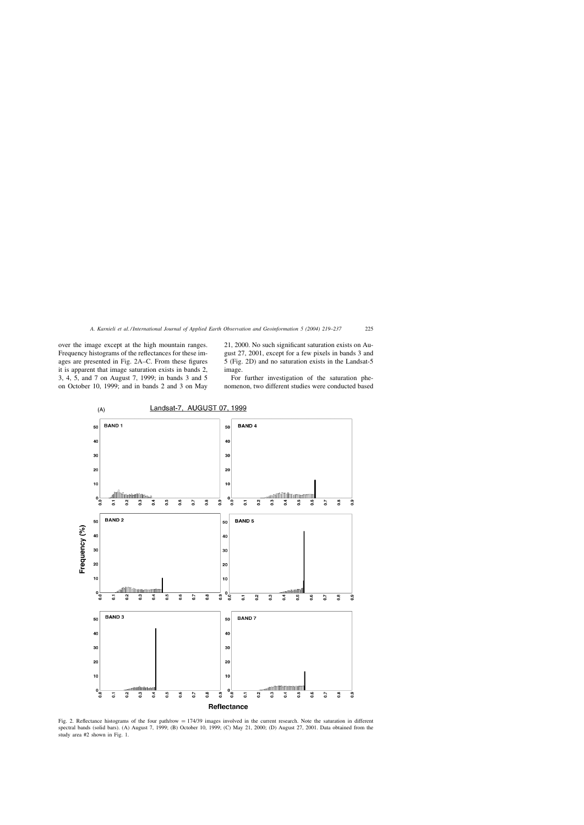over the image except at the high mountain ranges. Frequency histograms of the reflectances for these images are presented in Fig. 2A–C. From these figures it is apparent that image saturation exists in bands 2, 3, 4, 5, and 7 on August 7, 1999; in bands 3 and 5 on October 10, 1999; and in bands 2 and 3 on May 21, 2000. No such significant saturation exists on August 27, 2001, except for a few pixels in bands 3 and 5 (Fig. 2D) and no saturation exists in the Landsat-5 image.

For further investigation of the saturation phenomenon, two different studies were conducted based



Fig. 2. Reflectance histograms of the four path/row = 174/39 images involved in the current research. Note the saturation in different spectral bands (solid bars). (A) August 7, 1999; (B) October 10, 1999; (C) May 21, 2000; (D) August 27, 2001. Data obtained from the study area #2 shown in Fig. 1.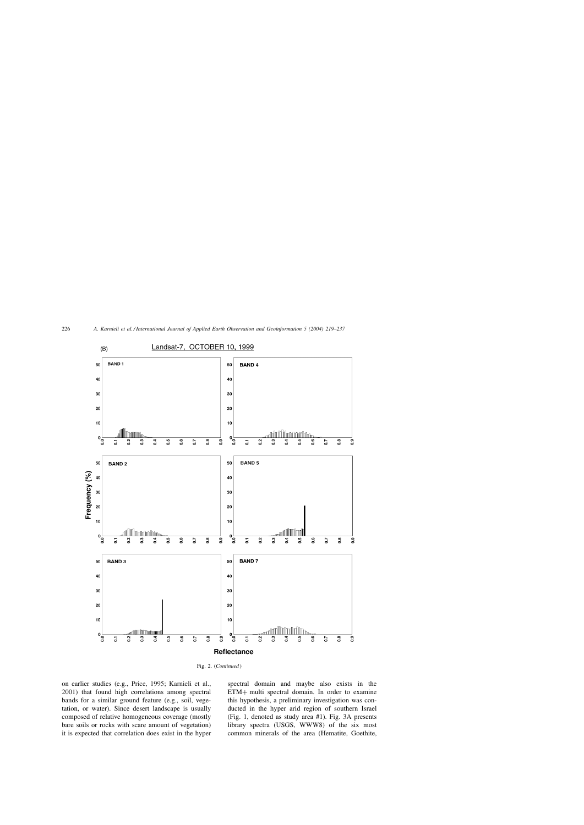



on earlier studies (e.g., Price, 1995; Karnieli et al., 2001) that found high correlations among spectral bands for a similar ground feature (e.g., soil, vegetation, or water). Since desert landscape is usually composed of relative homogeneous coverage (mostly bare soils or rocks with scare amount of vegetation) it is expected that correlation does exist in the hyper spectral domain and maybe also exists in the ETM+ multi spectral domain. In order to examine this hypothesis, a preliminary investigation was conducted in the hyper arid region of southern Israel (Fig. 1, denoted as study area #1). Fig. 3A presents library spectra (USGS, WWW8) of the six most common minerals of the area (Hematite, Goethite,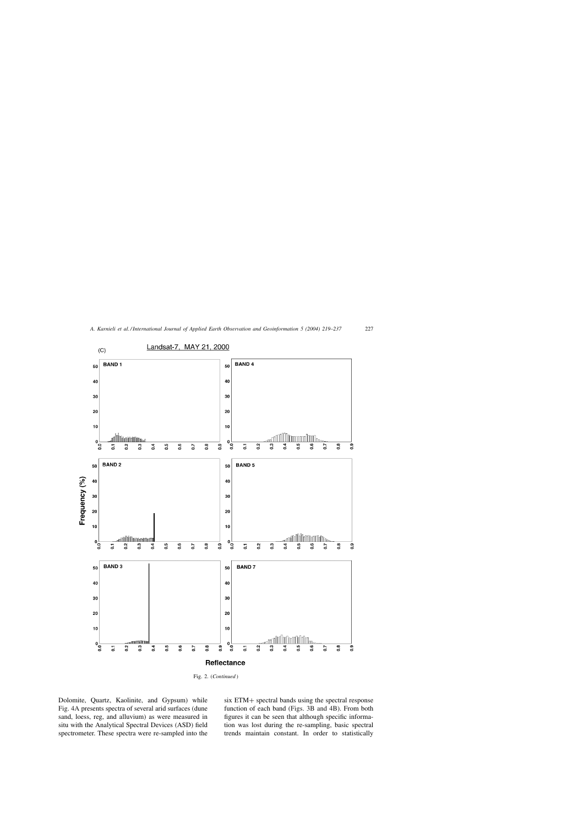

Fig. 2. (*Continued* )

Dolomite, Quartz, Kaolinite, and Gypsum) while Fig. 4A presents spectra of several arid surfaces (dune sand, loess, reg, and alluvium) as were measured in situ with the Analytical Spectral Devices (ASD) field spectrometer. These spectra were re-sampled into the

six ETM+ spectral bands using the spectral response function of each band (Figs. 3B and 4B). From both figures it can be seen that although specific information was lost during the re-sampling, basic spectral trends maintain constant. In order to statistically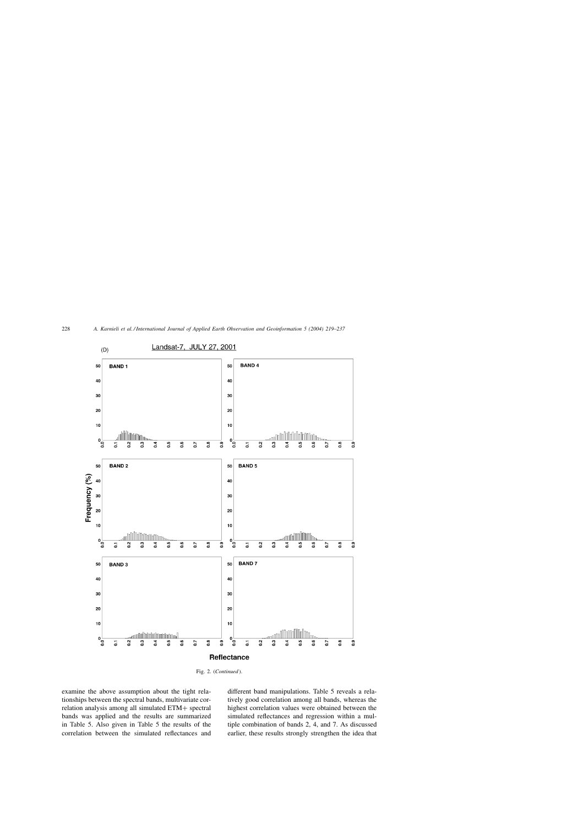

Fig. 2. (*Continued* ).

examine the above assumption about the tight relationships between the spectral bands, multivariate correlation analysis among all simulated ETM+ spectral bands was applied and the results are summarized in Table 5. Also given in Table 5 the results of the correlation between the simulated reflectances and different band manipulations. Table 5 reveals a relatively good correlation among all bands, whereas the highest correlation values were obtained between the simulated reflectances and regression within a multiple combination of bands 2, 4, and 7. As discussed earlier, these results strongly strengthen the idea that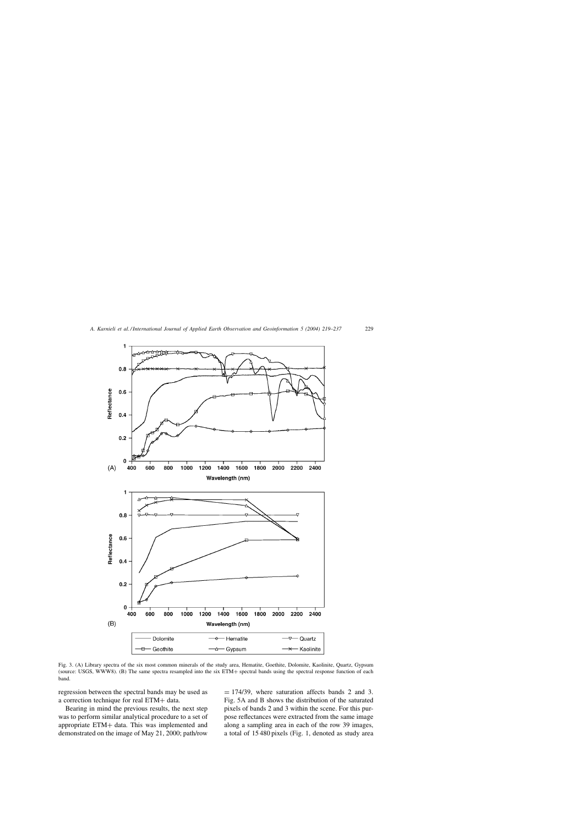

Fig. 3. (A) Library spectra of the six most common minerals of the study area, Hematite, Goethite, Dolomite, Kaolinite, Quartz, Gypsum (source: USGS, WWW8). (B) The same spectra resampled into the six ETM+ spectral bands using the spectral response function of each band.

regression between the spectral bands may be used as a correction technique for real ETM+ data.

Bearing in mind the previous results, the next step was to perform similar analytical procedure to a set of appropriate ETM+ data. This was implemented and demonstrated on the image of May 21, 2000; path/row

 $= 174/39$ , where saturation affects bands 2 and 3. Fig. 5A and B shows the distribution of the saturated pixels of bands 2 and 3 within the scene. For this purpose reflectances were extracted from the same image along a sampling area in each of the row 39 images, a total of 15 480 pixels (Fig. 1, denoted as study area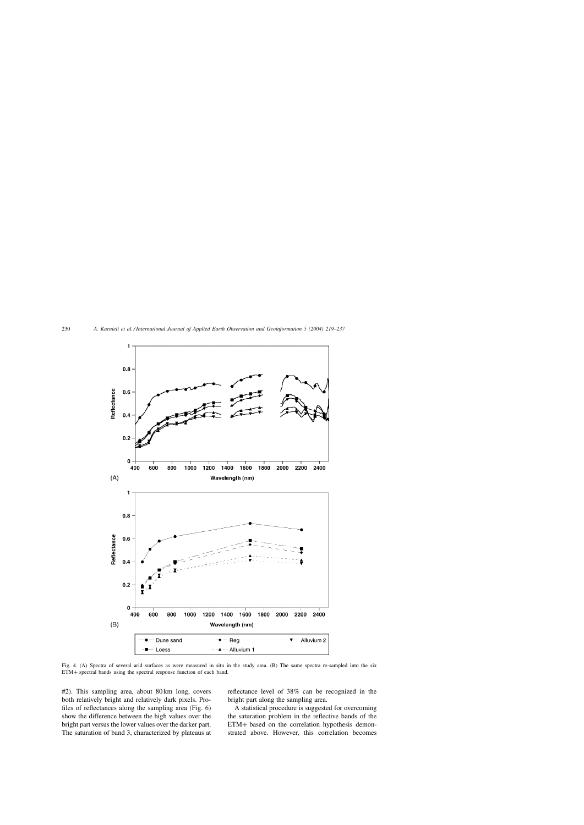

Fig. 4. (A) Spectra of several arid surfaces as were measured in situ in the study area. (B) The same spectra re-sampled into the six ETM+ spectral bands using the spectral response function of each band.

#2). This sampling area, about 80 km long, covers both relatively bright and relatively dark pixels. Profiles of reflectances along the sampling area (Fig. 6) show the difference between the high values over the bright part versus the lower values over the darker part. The saturation of band 3, characterized by plateaus at reflectance level of 38% can be recognized in the bright part along the sampling area.

A statistical procedure is suggested for overcoming the saturation problem in the reflective bands of the ETM+ based on the correlation hypothesis demonstrated above. However, this correlation becomes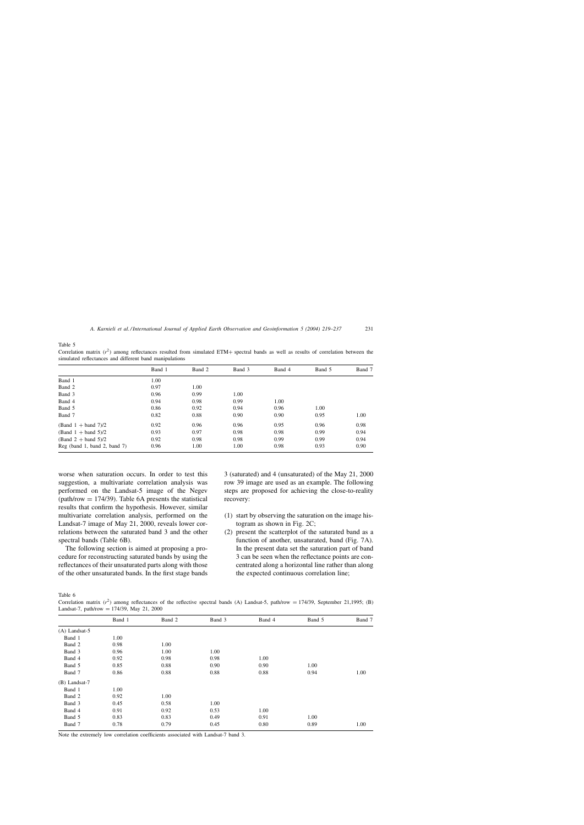Table 5

Correlation matrix  $(r^2)$  among reflectances resulted from simulated ETM+ spectral bands as well as results of correlation between the simulated reflectances and different band manipulations

|                                | Band 1 | Band 2 | Band 3 | Band 4 | Band 5 | Band 7 |
|--------------------------------|--------|--------|--------|--------|--------|--------|
|                                |        |        |        |        |        |        |
| Band 1                         | 1.00   |        |        |        |        |        |
| Band 2                         | 0.97   | 1.00   |        |        |        |        |
| Band 3                         | 0.96   | 0.99   | 1.00   |        |        |        |
| Band 4                         | 0.94   | 0.98   | 0.99   | 1.00   |        |        |
| Band 5                         | 0.86   | 0.92   | 0.94   | 0.96   | 1.00   |        |
| Band 7                         | 0.82   | 0.88   | 0.90   | 0.90   | 0.95   | 1.00   |
| $(Band 1 + band 7)/2$          | 0.92   | 0.96   | 0.96   | 0.95   | 0.96   | 0.98   |
| $(Band 1 + band 5)/2$          | 0.93   | 0.97   | 0.98   | 0.98   | 0.99   | 0.94   |
| $(Band 2 + band 5)/2$          | 0.92   | 0.98   | 0.98   | 0.99   | 0.99   | 0.94   |
| $Reg$ (band 1, band 2, band 7) | 0.96   | 1.00   | 1.00   | 0.98   | 0.93   | 0.90   |

worse when saturation occurs. In order to test this suggestion, a multivariate correlation analysis was performed on the Landsat-5 image of the Negev (path/row  $= 174/39$ ). Table 6A presents the statistical results that confirm the hypothesis. However, similar multivariate correlation analysis, performed on the Landsat-7 image of May 21, 2000, reveals lower correlations between the saturated band 3 and the other spectral bands (Table 6B).

The following section is aimed at proposing a procedure for reconstructing saturated bands by using the reflectances of their unsaturated parts along with those of the other unsaturated bands. In the first stage bands 3 (saturated) and 4 (unsaturated) of the May 21, 2000 row 39 image are used as an example. The following steps are proposed for achieving the close-to-reality recovery:

- (1) start by observing the saturation on the image histogram as shown in Fig. 2C;
- (2) present the scatterplot of the saturated band as a function of another, unsaturated, band (Fig. 7A). In the present data set the saturation part of band 3 can be seen when the reflectance points are concentrated along a horizontal line rather than along the expected continuous correlation line;

Table 6

Correlation matrix  $(r^2)$  among reflectances of the reflective spectral bands (A) Landsat-5, path/row = 174/39, September 21,1995; (B) Landsat-7, path/row =  $174/39$ , May 21, 2000

|                 | Band 1 | Band 2 | Band 3 | Band 4 | Band 5 | Band 7 |
|-----------------|--------|--------|--------|--------|--------|--------|
| $(A)$ Landsat-5 |        |        |        |        |        |        |
| Band 1          | 1.00   |        |        |        |        |        |
| Band 2          | 0.98   | 1.00   |        |        |        |        |
| Band 3          | 0.96   | 1.00   | 1.00   |        |        |        |
| Band 4          | 0.92   | 0.98   | 0.98   | 1.00   |        |        |
| Band 5          | 0.85   | 0.88   | 0.90   | 0.90   | 1.00   |        |
| Band 7          | 0.86   | 0.88   | 0.88   | 0.88   | 0.94   | 1.00   |
| $(B)$ Landsat-7 |        |        |        |        |        |        |
| Band 1          | 1.00   |        |        |        |        |        |
| Band 2          | 0.92   | 1.00   |        |        |        |        |
| Band 3          | 0.45   | 0.58   | 1.00   |        |        |        |
| Band 4          | 0.91   | 0.92   | 0.53   | 1.00   |        |        |
| Band 5          | 0.83   | 0.83   | 0.49   | 0.91   | 1.00   |        |
| Band 7          | 0.78   | 0.79   | 0.45   | 0.80   | 0.89   | 1.00   |

Note the extremely low correlation coefficients associated with Landsat-7 band 3.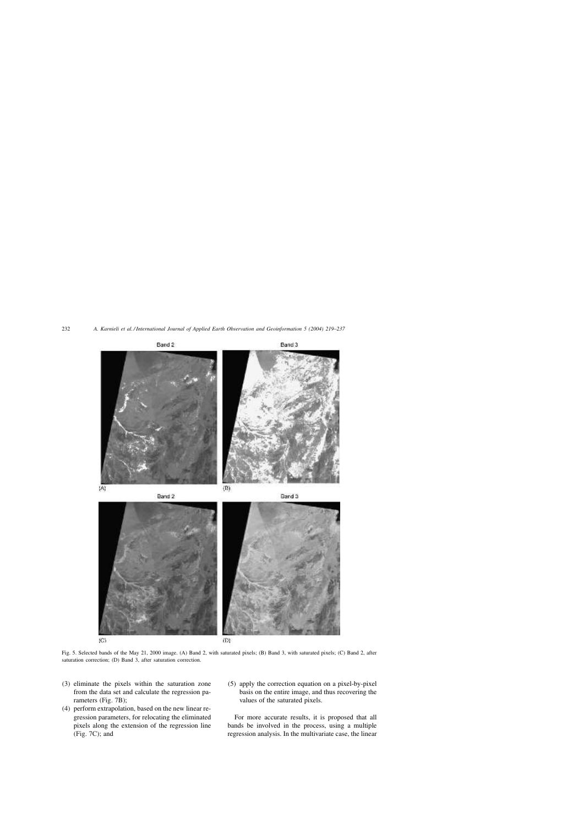

(C)

(D)

Fig. 5. Selected bands of the May 21, 2000 image. (A) Band 2, with saturated pixels; (B) Band 3, with saturated pixels; (C) Band 2, after saturation correction; (D) Band 3, after saturation correction.

- (3) eliminate the pixels within the saturation zone from the data set and calculate the regression parameters (Fig. 7B);
- (4) perform extrapolation, based on the new linear regression parameters, for relocating the eliminated pixels along the extension of the regression line (Fig. 7C); and
- (5) apply the correction equation on a pixel-by-pixel basis on the entire image, and thus recovering the values of the saturated pixels.

For more accurate results, it is proposed that all bands be involved in the process, using a multiple regression analysis. In the multivariate case, the linear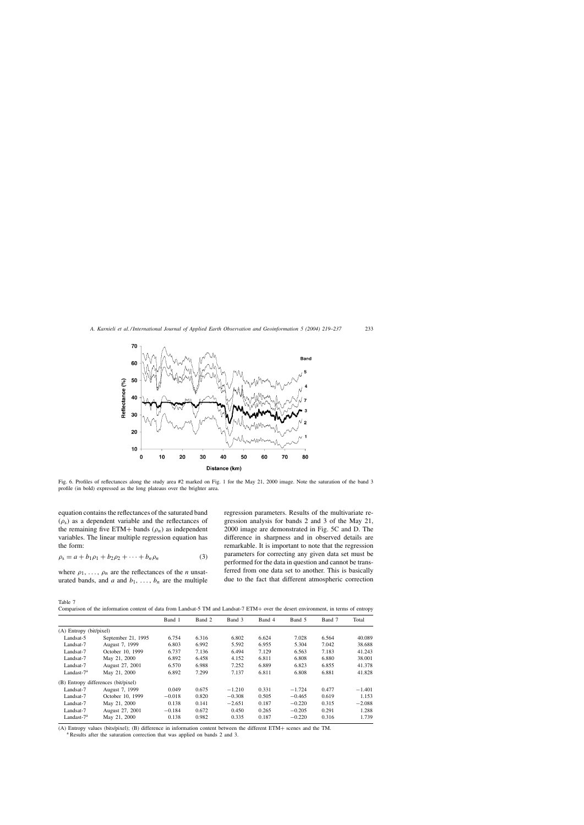

Fig. 6. Profiles of reflectances along the study area #2 marked on Fig. 1 for the May 21, 2000 image. Note the saturation of the band 3 profile (in bold) expressed as the long plateaus over the brighter area.

equation contains the reflectances of the saturated band  $(\rho_s)$  as a dependent variable and the reflectances of the remaining five ETM+ bands  $(\rho_n)$  as independent variables. The linear multiple regression equation has the form:

$$
\rho_{s} = a + b_{1}\rho_{1} + b_{2}\rho_{2} + \dots + b_{n}\rho_{n}
$$
 (3)

where  $\rho_1, \ldots, \rho_n$  are the reflectances of the *n* unsaturated bands, and  $a$  and  $b_1, \ldots, b_n$  are the multiple regression parameters. Results of the multivariate regression analysis for bands 2 and 3 of the May 21, 2000 image are demonstrated in Fig. 5C and D. The difference in sharpness and in observed details are remarkable. It is important to note that the regression parameters for correcting any given data set must be performed for the data in question and cannot be transferred from one data set to another. This is basically due to the fact that different atmospheric correction

Table 7

Comparison of the information content of data from Landsat-5 TM and Landsat-7 ETM+ over the desert environment, in terms of entropy

|                         |                                     | Band 1   | Band 2 | Band 3   | Band 4 | Band 5   | Band 7 | Total    |
|-------------------------|-------------------------------------|----------|--------|----------|--------|----------|--------|----------|
| (A) Entropy (bit/pixel) |                                     |          |        |          |        |          |        |          |
| Landsat-5               | September 21, 1995                  | 6.754    | 6.316  | 6.802    | 6.624  | 7.028    | 6.564  | 40.089   |
| Landsat-7               | August 7, 1999                      | 6.803    | 6.992  | 5.592    | 6.955  | 5.304    | 7.042  | 38.688   |
| Landsat-7               | October 10, 1999                    | 6.737    | 7.136  | 6.494    | 7.129  | 6.563    | 7.183  | 41.243   |
| Landsat-7               | May 21, 2000                        | 6.892    | 6.458  | 4.152    | 6.811  | 6.808    | 6.880  | 38.001   |
| Landsat-7               | August 27, 2001                     | 6.570    | 6.988  | 7.252    | 6.889  | 6.823    | 6.855  | 41.378   |
| Landast- $7^a$          | May 21, 2000                        | 6.892    | 7.299  | 7.137    | 6.811  | 6.808    | 6.881  | 41.828   |
|                         | (B) Entropy differences (bit/pixel) |          |        |          |        |          |        |          |
| Landsat-7               | August 7, 1999                      | 0.049    | 0.675  | $-1.210$ | 0.331  | $-1.724$ | 0.477  | $-1.401$ |
| Landsat-7               | October 10, 1999                    | $-0.018$ | 0.820  | $-0.308$ | 0.505  | $-0.465$ | 0.619  | 1.153    |
| Landsat-7               | May 21, 2000                        | 0.138    | 0.141  | $-2.651$ | 0.187  | $-0.220$ | 0.315  | $-2.088$ |
| Landsat-7               | August 27, 2001                     | $-0.184$ | 0.672  | 0.450    | 0.265  | $-0.205$ | 0.291  | 1.288    |
| Landast- $7^a$          | May 21, 2000                        | 0.138    | 0.982  | 0.335    | 0.187  | $-0.220$ | 0.316  | 1.739    |
|                         |                                     |          |        |          |        |          |        |          |

(A) Entropy values (bits/pixel); (B) difference in information content between the different ETM+ scenes and the TM.

<sup>a</sup> Results after the saturation correction that was applied on bands 2 and 3.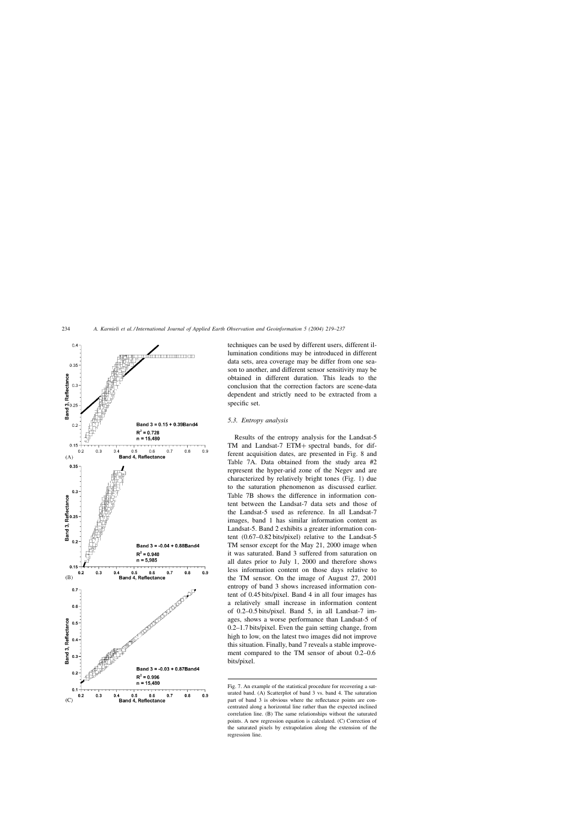

techniques can be used by different users, different illumination conditions may be introduced in different data sets, area coverage may be differ from one season to another, and different sensor sensitivity may be obtained in different duration. This leads to the conclusion that the correction factors are scene-data dependent and strictly need to be extracted from a specific set.

## *5.3. Entropy analysis*

Results of the entropy analysis for the Landsat-5 TM and Landsat-7 ETM+ spectral bands, for different acquisition dates, are presented in Fig. 8 and Table 7A. Data obtained from the study area #2 represent the hyper-arid zone of the Negev and are characterized by relatively bright tones (Fig. 1) due to the saturation phenomenon as discussed earlier. Table 7B shows the difference in information content between the Landsat-7 data sets and those of the Landsat-5 used as reference. In all Landsat-7 images, band 1 has similar information content as Landsat-5. Band 2 exhibits a greater information content (0.67–0.82 bits/pixel) relative to the Landsat-5 TM sensor except for the May 21, 2000 image when it was saturated. Band 3 suffered from saturation on all dates prior to July 1, 2000 and therefore shows less information content on those days relative to the TM sensor. On the image of August 27, 2001 entropy of band 3 shows increased information content of 0.45 bits/pixel. Band 4 in all four images has a relatively small increase in information content of 0.2–0.5 bits/pixel. Band 5, in all Landsat-7 images, shows a worse performance than Landsat-5 of 0.2–1.7 bits/pixel. Even the gain setting change, from high to low, on the latest two images did not improve this situation. Finally, band 7 reveals a stable improvement compared to the TM sensor of about 0.2–0.6 bits/pixel.

Fig. 7. An example of the statistical procedure for recovering a saturated band. (A) Scatterplot of band 3 vs. band 4. The saturation part of band 3 is obvious where the reflectance points are concentrated along a horizontal line rather than the expected inclined correlation line. (B) The same relationships without the saturated points. A new regression equation is calculated. (C) Correction of the saturated pixels by extrapolation along the extension of the regression line.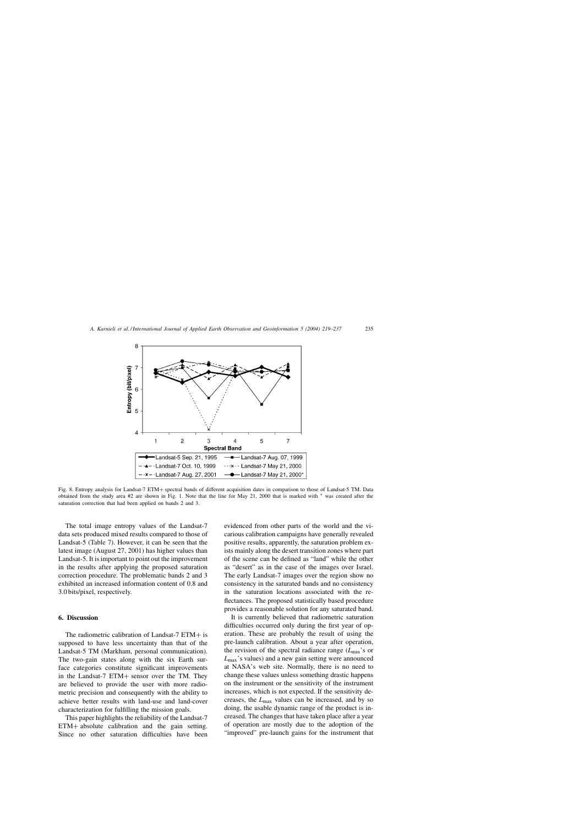

Fig. 8. Entropy analysis for Landsat-7 ETM+ spectral bands of different acquisition dates in comparison to those of Landsat-5 TM. Data obtained from the study area #2 are shown in Fig. 1. Note that the line for May 21, 2000 that is marked with <sup>∗</sup> was created after the saturation correction that had been applied on bands 2 and 3.

The total image entropy values of the Landsat-7 data sets produced mixed results compared to those of Landsat-5 (Table 7). However, it can be seen that the latest image (August 27, 2001) has higher values than Landsat-5. It is important to point out the improvement in the results after applying the proposed saturation correction procedure. The problematic bands 2 and 3 exhibited an increased information content of 0.8 and 3.0 bits/pixel, respectively.

#### **6. Discussion**

The radiometric calibration of Landsat-7 ETM+ is supposed to have less uncertainty than that of the Landsat-5 TM (Markham, personal communication). The two-gain states along with the six Earth surface categories constitute significant improvements in the Landsat-7 ETM+ sensor over the TM. They are believed to provide the user with more radiometric precision and consequently with the ability to achieve better results with land-use and land-cover characterization for fulfilling the mission goals.

This paper highlights the reliability of the Landsat-7 ETM+ absolute calibration and the gain setting. Since no other saturation difficulties have been evidenced from other parts of the world and the vicarious calibration campaigns have generally revealed positive results, apparently, the saturation problem exists mainly along the desert transition zones where part of the scene can be defined as "land" while the other as "desert" as in the case of the images over Israel. The early Landsat-7 images over the region show no consistency in the saturated bands and no consistency in the saturation locations associated with the reflectances. The proposed statistically based procedure provides a reasonable solution for any saturated band.

It is currently believed that radiometric saturation difficulties occurred only during the first year of operation. These are probably the result of using the pre-launch calibration. About a year after operation, the revision of the spectral radiance range (*L*min's or *L*max's values) and a new gain setting were announced at NASA's web site. Normally, there is no need to change these values unless something drastic happens on the instrument or the sensitivity of the instrument increases, which is not expected. If the sensitivity decreases, the *L*max values can be increased, and by so doing, the usable dynamic range of the product is increased. The changes that have taken place after a year of operation are mostly due to the adoption of the "improved" pre-launch gains for the instrument that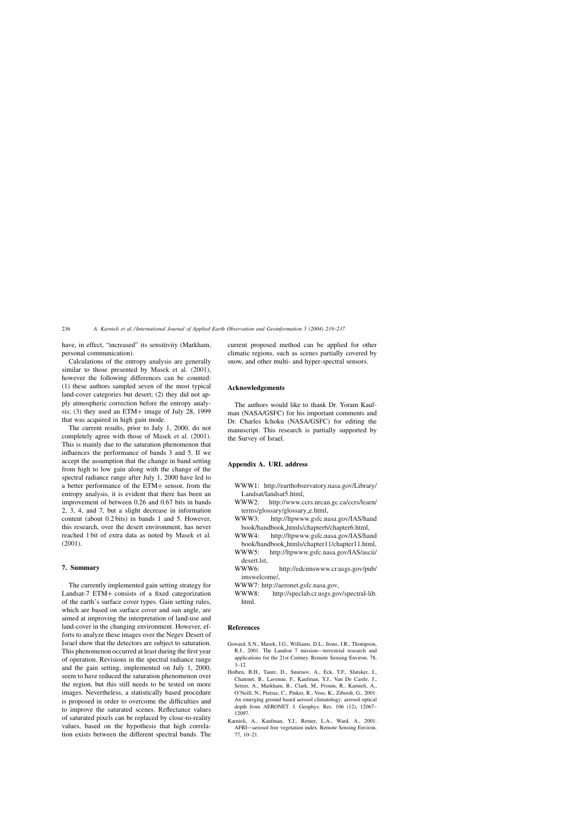have, in effect, "increased" its sensitivity (Markham, personal communication).

Calculations of the entropy analysis are generally similar to those presented by Masek et al. (2001), however the following differences can be counted: (1) these authors sampled seven of the most typical land-cover categories but desert; (2) they did not apply atmospheric correction before the entropy analysis; (3) they used an ETM+ image of July 28, 1999 that was acquired in high gain mode.

The current results, prior to July 1, 2000, do not completely agree with those of Masek et al. (2001). This is mainly due to the saturation phenomenon that influences the performance of bands 3 and 5. If we accept the assumption that the change in band setting from high to low gain along with the change of the spectral radiance range after July 1, 2000 have led to a better performance of the ETM+ sensor, from the entropy analysis, it is evident that there has been an improvement of between 0.26 and 0.67 bits in bands 2, 3, 4, and 7, but a slight decrease in information content (about 0.2 bits) in bands 1 and 5. However, this research, over the desert environment, has never reached 1 bit of extra data as noted by Masek et al. (2001).

## **7. Summary**

The currently implemented gain setting strategy for Landsat-7 ETM+ consists of a fixed categorization of the earth's surface cover types. Gain setting rules, which are based on surface cover and sun angle, are aimed at improving the interpretation of land-use and land-cover in the changing environment. However, efforts to analyze these images over the Negev Desert of Israel show that the detectors are subject to saturation. This phenomenon occurred at least during the first year of operation. Revisions in the spectral radiance range and the gain setting, implemented on July 1, 2000, seem to have reduced the saturation phenomenon over the region, but this still needs to be tested on more images. Nevertheless, a statistically based procedure is proposed in order to overcome the difficulties and to improve the saturated scenes. Reflectance values of saturated pixels can be replaced by close-to-reality values, based on the hypothesis that high correlation exists between the different spectral bands. The

current proposed method can be applied for other climatic regions, such as scenes partially covered by snow, and other multi- and hyper-spectral sensors.

#### **Acknowledgements**

The authors would like to thank Dr. Yoram Kaufman (NASA/GSFC) for his important comments and Dr. Charles Ichoku (NASA/GSFC) for editing the manuscript. This research is partially supported by the Survey of Israel.

### **Appendix A. URL address**

- WWW1: http://earthobservatory.nasa.gov/Library/ Landsat/landsat5.html,
- WWW2: http://www.ccrs.nrcan.gc.ca/ccrs/learn/ terms/glossary/glossary\_e.html,
- WWW3: http://ltpwww.gsfc.nasa.gov/IAS/hand book/handbook htmls/chapter6/chapter6.html,
- WWW4: http://ltpwww.gsfc.nasa.gov/IAS/hand book/handbook htmls/chapter11/chapter11.html,
- WWW5: http://ltpwww.gsfc.nasa.gov/IAS/ascii/ desert.lst,
- WWW6: http://edcimswww.cr.usgs.gov/pub/ imswelcome/,
- WWW7: http://aeronet.gsfc.nasa.gov,
- WWW8: http://speclab.cr.usgs.gov/spectral-lib. html.

#### **References**

- Goward, S.N., Masek, J.G., Williams, D.L., Irons, J.R., Thompson, R.J., 2001. The Landsat 7 mission—terrestrial research and applications for the 21st Century. Remote Sensing Environ. 78,  $3 - 12$ .
- Holben, B.H., Tanre, D., Smirnov, A., Eck, T.F., Slutsker, I., Chatenet, B., Lavenue, F., Kaufman, Y.J., Van De Castle, J., Setzer, A., Markham, B., Clark, M., Frouin, R., Karnieli, A., O'Neill, N., Pietras, C., Pinker, R., Voss, K., Zibordi, G., 2001. An emerging ground based aerosol climatology: aerosol optical depth from AERONET. J. Geophys. Res. 106 (12), 12067– 12097.
- Karnieli, A., Kaufman, Y.J., Remer, L.A., Ward, A., 2001. AFRI—aerosol free vegetation index. Remote Sensing Environ. 77, 10–21.